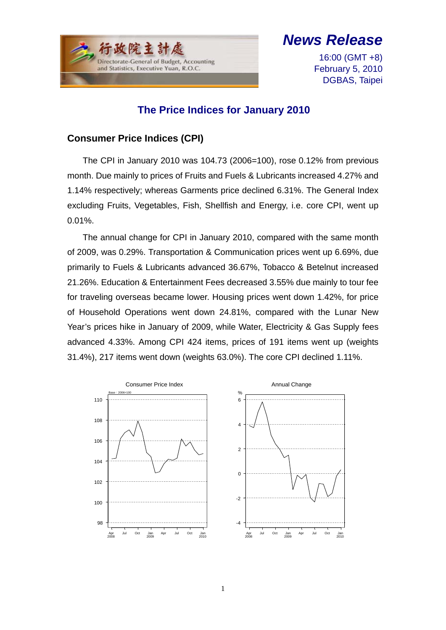

# *News Release*

16:00 (GMT +8) February 5, 2010 DGBAS, Taipei

## **The Price Indices for January 2010**

### **Consumer Price Indices (CPI)**

The CPI in January 2010 was 104.73 (2006=100), rose 0.12% from previous month. Due mainly to prices of Fruits and Fuels & Lubricants increased 4.27% and 1.14% respectively; whereas Garments price declined 6.31%. The General Index excluding Fruits, Vegetables, Fish, Shellfish and Energy, i.e. core CPI, went up 0.01%.

The annual change for CPI in January 2010, compared with the same month of 2009, was 0.29%. Transportation & Communication prices went up 6.69%, due primarily to Fuels & Lubricants advanced 36.67%, Tobacco & Betelnut increased 21.26%. Education & Entertainment Fees decreased 3.55% due mainly to tour fee for traveling overseas became lower. Housing prices went down 1.42%, for price of Household Operations went down 24.81%, compared with the Lunar New Year's prices hike in January of 2009, while Water, Electricity & Gas Supply fees advanced 4.33%. Among CPI 424 items, prices of 191 items went up (weights 31.4%), 217 items went down (weights 63.0%). The core CPI declined 1.11%.

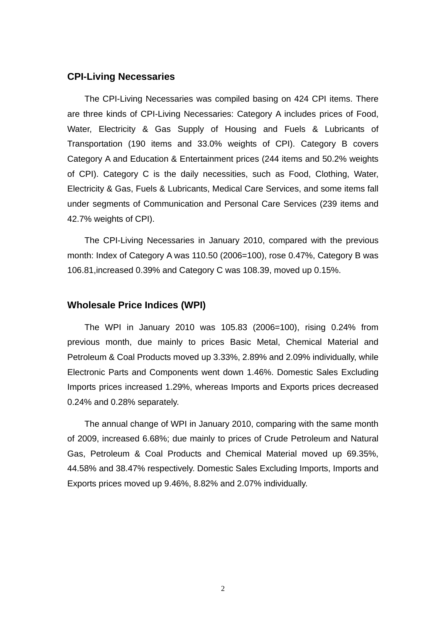#### **CPI-Living Necessaries**

The CPI-Living Necessaries was compiled basing on 424 CPI items. There are three kinds of CPI-Living Necessaries: Category A includes prices of Food, Water, Electricity & Gas Supply of Housing and Fuels & Lubricants of Transportation (190 items and 33.0% weights of CPI). Category B covers Category A and Education & Entertainment prices (244 items and 50.2% weights of CPI). Category C is the daily necessities, such as Food, Clothing, Water, Electricity & Gas, Fuels & Lubricants, Medical Care Services, and some items fall under segments of Communication and Personal Care Services (239 items and 42.7% weights of CPI).

The CPI-Living Necessaries in January 2010, compared with the previous month: Index of Category A was 110.50 (2006=100), rose 0.47%, Category B was 106.81,increased 0.39% and Category C was 108.39, moved up 0.15%.

#### **Wholesale Price Indices (WPI)**

The WPI in January 2010 was 105.83 (2006=100), rising 0.24% from previous month, due mainly to prices Basic Metal, Chemical Material and Petroleum & Coal Products moved up 3.33%, 2.89% and 2.09% individually, while Electronic Parts and Components went down 1.46%. Domestic Sales Excluding Imports prices increased 1.29%, whereas Imports and Exports prices decreased 0.24% and 0.28% separately.

The annual change of WPI in January 2010, comparing with the same month of 2009, increased 6.68%; due mainly to prices of Crude Petroleum and Natural Gas, Petroleum & Coal Products and Chemical Material moved up 69.35%, 44.58% and 38.47% respectively. Domestic Sales Excluding Imports, Imports and Exports prices moved up 9.46%, 8.82% and 2.07% individually.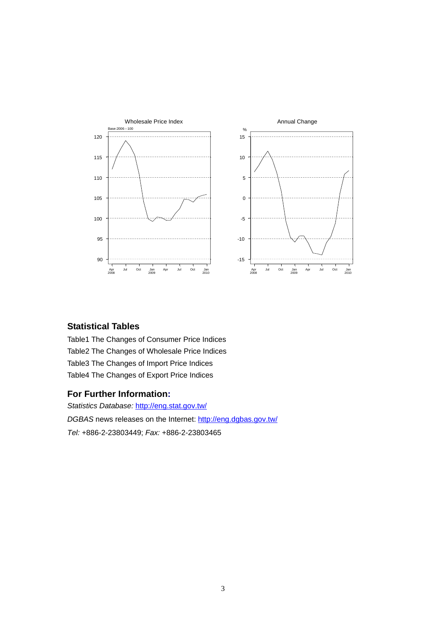

#### **Statistical Tables**

Table1 The Changes of Consumer Price Indices Table2 The Changes of Wholesale Price Indices Table3 The Changes of Import Price Indices Table4 The Changes of Export Price Indices

#### **For Further Information:**

*Statistics Database:* http://eng.stat.gov.tw/ *DGBAS* news releases on the Internet: http://eng.dgbas.gov.tw/ *Tel:* +886-2-23803449; *Fax:* +886-2-23803465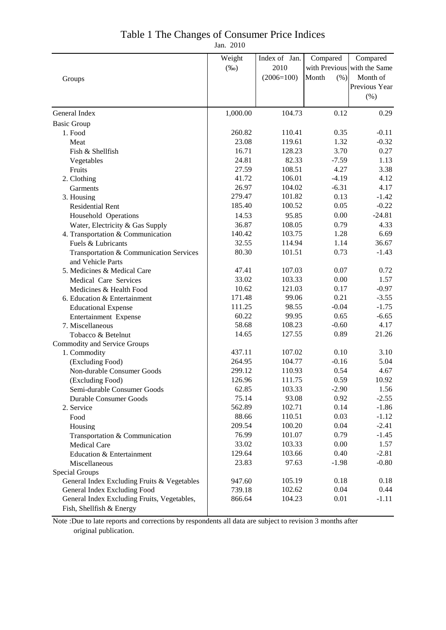### Table 1 The Changes of Consumer Price Indices

Jan. 2010

|                                                                         | Weight          | Index of Jan.    | Compared      | Compared                    |
|-------------------------------------------------------------------------|-----------------|------------------|---------------|-----------------------------|
|                                                                         | $(\%0)$         | 2010             |               | with Previous with the Same |
| Groups                                                                  |                 | $(2006=100)$     | (% )<br>Month | Month of                    |
|                                                                         |                 |                  |               | Previous Year               |
|                                                                         |                 |                  |               | (% )                        |
| General Index                                                           | 1,000.00        | 104.73           | 0.12          | 0.29                        |
| <b>Basic Group</b>                                                      |                 |                  |               |                             |
| 1. Food                                                                 | 260.82          | 110.41           | 0.35          | $-0.11$                     |
| Meat                                                                    | 23.08           | 119.61           | 1.32          | $-0.32$                     |
| Fish & Shellfish                                                        | 16.71           | 128.23           | 3.70          | 0.27                        |
|                                                                         | 24.81           | 82.33            | $-7.59$       | 1.13                        |
| Vegetables                                                              | 27.59           | 108.51           | 4.27          | 3.38                        |
| Fruits                                                                  | 41.72           | 106.01           | $-4.19$       | 4.12                        |
| 2. Clothing                                                             |                 |                  |               |                             |
| Garments                                                                | 26.97<br>279.47 | 104.02<br>101.82 | $-6.31$       | 4.17                        |
| 3. Housing                                                              | 185.40          |                  | 0.13          | $-1.42$                     |
| <b>Residential Rent</b>                                                 |                 | 100.52           | 0.05          | $-0.22$                     |
| Household Operations                                                    | 14.53           | 95.85            | 0.00          | $-24.81$                    |
| Water, Electricity & Gas Supply                                         | 36.87           | 108.05           | 0.79          | 4.33                        |
| 4. Transportation & Communication                                       | 140.42          | 103.75           | 1.28          | 6.69                        |
| Fuels & Lubricants                                                      | 32.55           | 114.94           | 1.14          | 36.67                       |
| Transportation & Communication Services<br>and Vehicle Parts            | 80.30           | 101.51           | 0.73          | $-1.43$                     |
| 5. Medicines & Medical Care                                             | 47.41           | 107.03           | 0.07          | 0.72                        |
| Medical Care Services                                                   | 33.02           | 103.33           | 0.00          | 1.57                        |
| Medicines & Health Food                                                 | 10.62           | 121.03           | 0.17          | $-0.97$                     |
| 6. Education & Entertainment                                            | 171.48          | 99.06            | 0.21          | $-3.55$                     |
| <b>Educational Expense</b>                                              | 111.25          | 98.55            | $-0.04$       | $-1.75$                     |
| Entertainment Expense                                                   | 60.22           | 99.95            | 0.65          | $-6.65$                     |
| 7. Miscellaneous                                                        | 58.68           | 108.23           | $-0.60$       | 4.17                        |
| Tobacco & Betelnut                                                      | 14.65           | 127.55           | 0.89          | 21.26                       |
| <b>Commodity and Service Groups</b>                                     |                 |                  |               |                             |
| 1. Commodity                                                            | 437.11          | 107.02           | 0.10          | 3.10                        |
| (Excluding Food)                                                        | 264.95          | 104.77           | $-0.16$       | 5.04                        |
| Non-durable Consumer Goods                                              | 299.12          | 110.93           | 0.54          | 4.67                        |
| (Excluding Food)                                                        | 126.96          | 111.75           | 0.59          | 10.92                       |
|                                                                         | 62.85           | 103.33           | $-2.90$       | 1.56                        |
| Semi-durable Consumer Goods<br><b>Durable Consumer Goods</b>            | 75.14           | 93.08            | 0.92          | $-2.55$                     |
|                                                                         | 562.89          | 102.71           | 0.14          | $-1.86$                     |
| 2. Service                                                              | 88.66           | 110.51           | 0.03          | $-1.12$                     |
| Food                                                                    |                 |                  |               |                             |
| Housing                                                                 | 209.54          | 100.20           | 0.04          | $-2.41$                     |
| Transportation & Communication                                          | 76.99           | 101.07           | 0.79          | $-1.45$                     |
| <b>Medical Care</b>                                                     | 33.02           | 103.33           | 0.00          | 1.57                        |
| Education & Entertainment                                               | 129.64          | 103.66           | 0.40          | $-2.81$                     |
| Miscellaneous                                                           | 23.83           | 97.63            | $-1.98$       | $-0.80$                     |
| Special Groups                                                          |                 |                  |               |                             |
| General Index Excluding Fruits & Vegetables                             | 947.60          | 105.19           | 0.18          | 0.18                        |
| General Index Excluding Food                                            | 739.18          | 102.62           | 0.04          | 0.44                        |
| General Index Excluding Fruits, Vegetables,<br>Fish, Shellfish & Energy | 866.64          | 104.23           | 0.01          | $-1.11$                     |

Note :Due to late reports and corrections by respondents all data are subject to revision 3 months after original publication.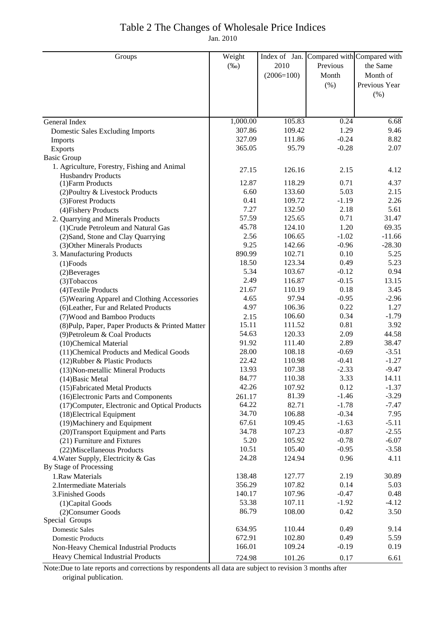## Table 2 The Changes of Wholesale Price Indices

Jan. 2010

| Groups                                           | Weight   | Index of Jan. | Compared with Compared with |               |
|--------------------------------------------------|----------|---------------|-----------------------------|---------------|
|                                                  | $(\%0)$  | 2010          | Previous                    | the Same      |
|                                                  |          | $(2006=100)$  | Month                       | Month of      |
|                                                  |          |               | (% )                        | Previous Year |
|                                                  |          |               |                             | (%)           |
|                                                  |          |               |                             |               |
|                                                  |          |               |                             |               |
| General Index                                    | 1,000.00 | 105.83        | 0.24                        | 6.68          |
| Domestic Sales Excluding Imports                 | 307.86   | 109.42        | 1.29                        | 9.46          |
| Imports                                          | 327.09   | 111.86        | $-0.24$                     | 8.82          |
| <b>Exports</b>                                   | 365.05   | 95.79         | $-0.28$                     | 2.07          |
| <b>Basic Group</b>                               |          |               |                             |               |
| 1. Agriculture, Forestry, Fishing and Animal     | 27.15    | 126.16        | 2.15                        | 4.12          |
| <b>Husbandry Products</b>                        |          |               |                             |               |
| (1) Farm Products                                | 12.87    | 118.29        | 0.71                        | 4.37          |
| (2) Poultry & Livestock Products                 | 6.60     | 133.60        | 5.03                        | 2.15          |
| (3) Forest Products                              | 0.41     | 109.72        | $-1.19$                     | 2.26          |
| (4) Fishery Products                             | 7.27     | 132.50        | 2.18                        | 5.61          |
| 2. Quarrying and Minerals Products               | 57.59    | 125.65        | 0.71                        | 31.47         |
| (1) Crude Petroleum and Natural Gas              | 45.78    | 124.10        | 1.20                        | 69.35         |
| (2) Sand, Stone and Clay Quarrying               | 2.56     | 106.65        | $-1.02$                     | $-11.66$      |
| (3) Other Minerals Products                      | 9.25     | 142.66        | $-0.96$                     | $-28.30$      |
| 3. Manufacturing Products                        | 890.99   | 102.71        | 0.10                        | 5.25          |
| $(1)$ Foods                                      | 18.50    | 123.34        | 0.49                        | 5.23          |
| $(2)$ Beverages                                  | 5.34     | 103.67        | $-0.12$                     | 0.94          |
| (3) Tobaccos                                     | 2.49     | 116.87        | $-0.15$                     | 13.15         |
| (4) Textile Products                             | 21.67    | 110.19        | 0.18                        | 3.45          |
| (5) Wearing Apparel and Clothing Accessories     | 4.65     | 97.94         | $-0.95$                     | $-2.96$       |
| (6) Leather, Fur and Related Products            | 4.97     | 106.36        | 0.22                        | 1.27          |
| (7) Wood and Bamboo Products                     | 2.15     | 106.60        | 0.34                        | $-1.79$       |
| (8) Pulp, Paper, Paper Products & Printed Matter | 15.11    | 111.52        | 0.81                        | 3.92          |
| (9) Petroleum & Coal Products                    | 54.63    | 120.33        | 2.09                        | 44.58         |
| (10)Chemical Material                            | 91.92    | 111.40        | 2.89                        | 38.47         |
| (11) Chemical Products and Medical Goods         | 28.00    | 108.18        | $-0.69$                     | $-3.51$       |
| (12) Rubber & Plastic Products                   | 22.42    | 110.98        | $-0.41$                     | $-1.27$       |
| (13) Non-metallic Mineral Products               | 13.93    | 107.38        | $-2.33$                     | $-9.47$       |
| (14) Basic Metal                                 | 84.77    | 110.38        | 3.33                        | 14.11         |
| (15) Fabricated Metal Products                   | 42.26    | 107.92        | 0.12                        | $-1.37$       |
| (16) Electronic Parts and Components             | 261.17   | 81.39         | $-1.46$                     | $-3.29$       |
| (17) Computer, Electronic and Optical Products   | 64.22    | 82.71         | $-1.78$                     | $-7.47$       |
| (18) Electrical Equipment                        | 34.70    | 106.88        | $-0.34$                     | 7.95          |
| (19) Machinery and Equipment                     | 67.61    | 109.45        | $-1.63$                     | $-5.11$       |
| (20) Transport Equipment and Parts               | 34.78    | 107.23        | $-0.87$                     | $-2.55$       |
| (21) Furniture and Fixtures                      | 5.20     | 105.92        | $-0.78$                     | $-6.07$       |
| (22) Miscellaneous Products                      | 10.51    | 105.40        | $-0.95$                     | $-3.58$       |
| 4. Water Supply, Electricity & Gas               | 24.28    | 124.94        | 0.96                        | 4.11          |
| By Stage of Processing                           |          |               |                             |               |
| 1.Raw Materials                                  | 138.48   | 127.77        | 2.19                        | 30.89         |
| 2. Intermediate Materials                        | 356.29   | 107.82        | 0.14                        | 5.03          |
| 3. Finished Goods                                | 140.17   | 107.96        | $-0.47$                     | 0.48          |
| (1) Capital Goods                                | 53.38    | 107.11        | $-1.92$                     | $-4.12$       |
| (2) Consumer Goods                               | 86.79    | 108.00        | 0.42                        | 3.50          |
| Special Groups                                   |          |               |                             |               |
| <b>Domestic Sales</b>                            | 634.95   | 110.44        | 0.49                        | 9.14          |
| <b>Domestic Products</b>                         | 672.91   | 102.80        | 0.49                        | 5.59          |
| Non-Heavy Chemical Industrial Products           | 166.01   | 109.24        | $-0.19$                     | 0.19          |
| Heavy Chemical Industrial Products               | 724.98   | 101.26        | 0.17                        | 6.61          |

Note:Due to late reports and corrections by respondents all data are subject to revision 3 months after original publication.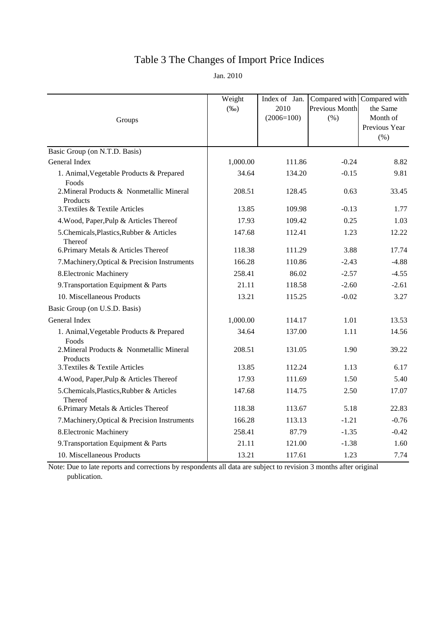# Table 3 The Changes of Import Price Indices

Jan. 2010

| Groups                                                | Weight<br>$(\%0)$ | Index of Jan.<br>2010<br>$(2006=100)$ | Compared with Compared with<br>Previous Month<br>(% ) | the Same<br>Month of<br>Previous Year<br>(% ) |
|-------------------------------------------------------|-------------------|---------------------------------------|-------------------------------------------------------|-----------------------------------------------|
| Basic Group (on N.T.D. Basis)                         |                   |                                       |                                                       |                                               |
| General Index                                         | 1,000.00          | 111.86                                | $-0.24$                                               | 8.82                                          |
| 1. Animal, Vegetable Products & Prepared<br>Foods     | 34.64             | 134.20                                | $-0.15$                                               | 9.81                                          |
| 2. Mineral Products & Nonmetallic Mineral<br>Products | 208.51            | 128.45                                | 0.63                                                  | 33.45                                         |
| 3. Textiles & Textile Articles                        | 13.85             | 109.98                                | $-0.13$                                               | 1.77                                          |
| 4. Wood, Paper, Pulp & Articles Thereof               | 17.93             | 109.42                                | 0.25                                                  | 1.03                                          |
| 5. Chemicals, Plastics, Rubber & Articles<br>Thereof  | 147.68            | 112.41                                | 1.23                                                  | 12.22                                         |
| 6. Primary Metals & Articles Thereof                  | 118.38            | 111.29                                | 3.88                                                  | 17.74                                         |
| 7. Machinery, Optical & Precision Instruments         | 166.28            | 110.86                                | $-2.43$                                               | $-4.88$                                       |
| 8. Electronic Machinery                               | 258.41            | 86.02                                 | $-2.57$                                               | $-4.55$                                       |
| 9. Transportation Equipment & Parts                   | 21.11             | 118.58                                | $-2.60$                                               | $-2.61$                                       |
| 10. Miscellaneous Products                            | 13.21             | 115.25                                | $-0.02$                                               | 3.27                                          |
| Basic Group (on U.S.D. Basis)                         |                   |                                       |                                                       |                                               |
| General Index                                         | 1,000.00          | 114.17                                | 1.01                                                  | 13.53                                         |
| 1. Animal, Vegetable Products & Prepared<br>Foods     | 34.64             | 137.00                                | 1.11                                                  | 14.56                                         |
| 2. Mineral Products & Nonmetallic Mineral<br>Products | 208.51            | 131.05                                | 1.90                                                  | 39.22                                         |
| 3. Textiles & Textile Articles                        | 13.85             | 112.24                                | 1.13                                                  | 6.17                                          |
| 4. Wood, Paper, Pulp & Articles Thereof               | 17.93             | 111.69                                | 1.50                                                  | 5.40                                          |
| 5. Chemicals, Plastics, Rubber & Articles<br>Thereof  | 147.68            | 114.75                                | 2.50                                                  | 17.07                                         |
| 6. Primary Metals & Articles Thereof                  | 118.38            | 113.67                                | 5.18                                                  | 22.83                                         |
| 7. Machinery, Optical & Precision Instruments         | 166.28            | 113.13                                | $-1.21$                                               | $-0.76$                                       |
| 8. Electronic Machinery                               | 258.41            | 87.79                                 | $-1.35$                                               | $-0.42$                                       |
| 9. Transportation Equipment & Parts                   | 21.11             | 121.00                                | $-1.38$                                               | 1.60                                          |
| 10. Miscellaneous Products                            | 13.21             | 117.61                                | 1.23                                                  | 7.74                                          |

Note: Due to late reports and corrections by respondents all data are subject to revision 3 months after original publication.